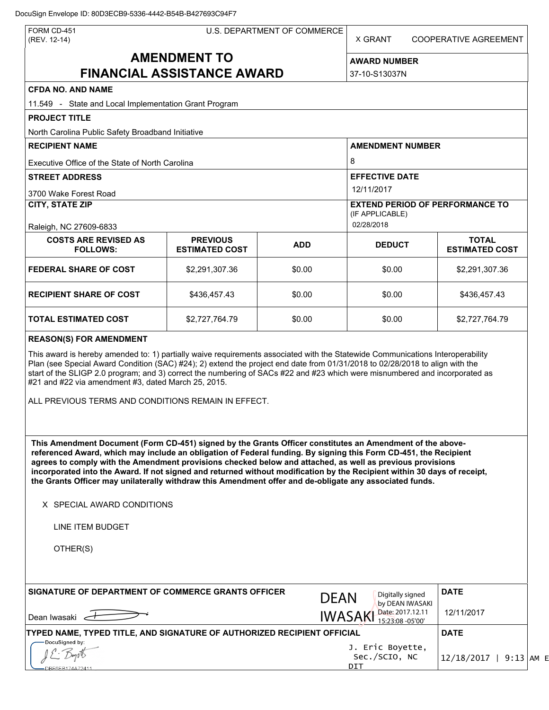| FORM CD-451<br>(REV. 12-14)                                                                                                                                                                                                                                                                                                                                                                                                                                                                                                                                                                                                              |                         | U.S. DEPARTMENT OF COMMERCE                                             | X GRANT                                  |                                      | COOPERATIVE AGREEMENT    |                          |
|------------------------------------------------------------------------------------------------------------------------------------------------------------------------------------------------------------------------------------------------------------------------------------------------------------------------------------------------------------------------------------------------------------------------------------------------------------------------------------------------------------------------------------------------------------------------------------------------------------------------------------------|-------------------------|-------------------------------------------------------------------------|------------------------------------------|--------------------------------------|--------------------------|--------------------------|
| <b>AMENDMENT TO</b><br><b>FINANCIAL ASSISTANCE AWARD</b>                                                                                                                                                                                                                                                                                                                                                                                                                                                                                                                                                                                 |                         |                                                                         | <b>AWARD NUMBER</b><br>37-10-S13037N     |                                      |                          |                          |
|                                                                                                                                                                                                                                                                                                                                                                                                                                                                                                                                                                                                                                          |                         |                                                                         |                                          |                                      |                          | <b>CFDA NO. AND NAME</b> |
| 11.549 - State and Local Implementation Grant Program                                                                                                                                                                                                                                                                                                                                                                                                                                                                                                                                                                                    |                         |                                                                         |                                          |                                      |                          |                          |
| <b>PROJECT TITLE</b>                                                                                                                                                                                                                                                                                                                                                                                                                                                                                                                                                                                                                     |                         |                                                                         |                                          |                                      |                          |                          |
| North Carolina Public Safety Broadband Initiative                                                                                                                                                                                                                                                                                                                                                                                                                                                                                                                                                                                        |                         |                                                                         |                                          |                                      |                          |                          |
| <b>RECIPIENT NAME</b>                                                                                                                                                                                                                                                                                                                                                                                                                                                                                                                                                                                                                    | <b>AMENDMENT NUMBER</b> |                                                                         |                                          |                                      |                          |                          |
| Executive Office of the State of North Carolina                                                                                                                                                                                                                                                                                                                                                                                                                                                                                                                                                                                          |                         |                                                                         |                                          | 8                                    |                          |                          |
| <b>STREET ADDRESS</b>                                                                                                                                                                                                                                                                                                                                                                                                                                                                                                                                                                                                                    |                         |                                                                         |                                          | <b>EFFECTIVE DATE</b>                |                          |                          |
| 3700 Wake Forest Road                                                                                                                                                                                                                                                                                                                                                                                                                                                                                                                                                                                                                    |                         |                                                                         | 12/11/2017                               |                                      |                          |                          |
| <b>CITY, STATE ZIP</b>                                                                                                                                                                                                                                                                                                                                                                                                                                                                                                                                                                                                                   |                         | <b>EXTEND PERIOD OF PERFORMANCE TO</b><br>(IF APPLICABLE)<br>02/28/2018 |                                          |                                      |                          |                          |
| Raleigh, NC 27609-6833<br><b>COSTS ARE REVISED AS</b>                                                                                                                                                                                                                                                                                                                                                                                                                                                                                                                                                                                    | <b>PREVIOUS</b>         |                                                                         |                                          |                                      | <b>TOTAL</b>             |                          |
| <b>FOLLOWS:</b>                                                                                                                                                                                                                                                                                                                                                                                                                                                                                                                                                                                                                          | <b>ESTIMATED COST</b>   | <b>ADD</b>                                                              | <b>DEDUCT</b>                            |                                      | <b>ESTIMATED COST</b>    |                          |
| <b>FEDERAL SHARE OF COST</b>                                                                                                                                                                                                                                                                                                                                                                                                                                                                                                                                                                                                             | \$2,291,307.36          | \$0.00                                                                  | \$0.00                                   |                                      | \$2,291,307.36           |                          |
| <b>RECIPIENT SHARE OF COST</b>                                                                                                                                                                                                                                                                                                                                                                                                                                                                                                                                                                                                           | \$436,457.43            | \$0.00                                                                  | \$0.00                                   |                                      | \$436,457.43             |                          |
| <b>TOTAL ESTIMATED COST</b>                                                                                                                                                                                                                                                                                                                                                                                                                                                                                                                                                                                                              | \$2,727,764.79          | \$0.00                                                                  | \$0.00                                   |                                      | \$2,727,764.79           |                          |
| ALL PREVIOUS TERMS AND CONDITIONS REMAIN IN EFFECT.<br>This Amendment Document (Form CD-451) signed by the Grants Officer constitutes an Amendment of the above-<br>referenced Award, which may include an obligation of Federal funding. By signing this Form CD-451, the Recipient<br>agrees to comply with the Amendment provisions checked below and attached, as well as previous provisions<br>incorporated into the Award. If not signed and returned without modification by the Recipient within 30 days of receipt,<br>the Grants Officer may unilaterally withdraw this Amendment offer and de-obligate any associated funds. |                         |                                                                         |                                          |                                      |                          |                          |
| X SPECIAL AWARD CONDITIONS                                                                                                                                                                                                                                                                                                                                                                                                                                                                                                                                                                                                               |                         |                                                                         |                                          |                                      |                          |                          |
| LINE ITEM BUDGET                                                                                                                                                                                                                                                                                                                                                                                                                                                                                                                                                                                                                         |                         |                                                                         |                                          |                                      |                          |                          |
| OTHER(S)                                                                                                                                                                                                                                                                                                                                                                                                                                                                                                                                                                                                                                 |                         |                                                                         |                                          |                                      |                          |                          |
| SIGNATURE OF DEPARTMENT OF COMMERCE GRANTS OFFICER                                                                                                                                                                                                                                                                                                                                                                                                                                                                                                                                                                                       |                         | <b>DEAN</b>                                                             |                                          | Digitally signed<br>by DEAN IWASAKI  | <b>DATE</b>              |                          |
| Dean Iwasaki <                                                                                                                                                                                                                                                                                                                                                                                                                                                                                                                                                                                                                           |                         |                                                                         | <b>IWASAKI</b>                           | Date: 2017.12.11<br>15:23:08 -05'00' | 12/11/2017               |                          |
| TYPED NAME, TYPED TITLE, AND SIGNATURE OF AUTHORIZED RECIPIENT OFFICIAL                                                                                                                                                                                                                                                                                                                                                                                                                                                                                                                                                                  |                         |                                                                         |                                          |                                      | <b>DATE</b>              |                          |
| DocuSigned by:                                                                                                                                                                                                                                                                                                                                                                                                                                                                                                                                                                                                                           |                         |                                                                         | J. Eric Boyette,<br>Sec./SCIO, NC<br>DIT |                                      | $12/18/2017$   9:13 AM E |                          |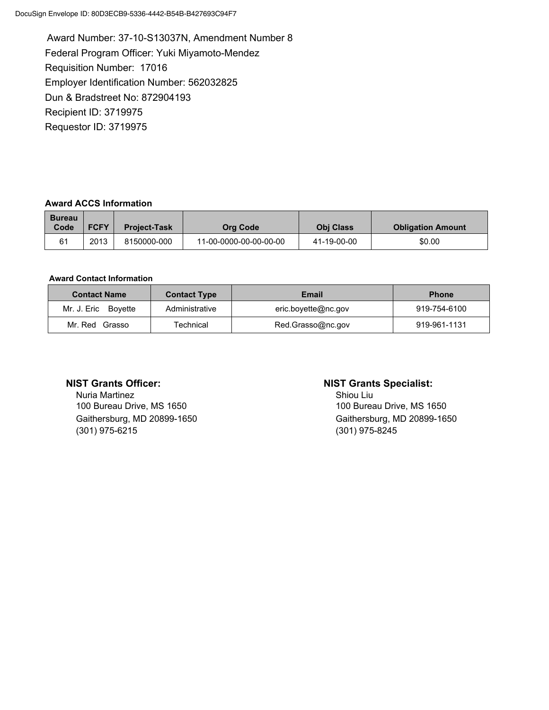Award Number: 37-10-S13037N, Amendment Number 8 Federal Program Officer: Yuki Miyamoto-Mendez Requisition Number: 17016 Employer Identification Number: 562032825 Dun & Bradstreet No: 872904193 Recipient ID: 3719975 Requestor ID: 3719975

### Award ACCS Information

| <b>Bureau</b><br>Code | <b>FCFY</b> | <b>Project-Task</b> | Org Code               | <b>Obi Class</b> | <b>Obligation Amount</b> |
|-----------------------|-------------|---------------------|------------------------|------------------|--------------------------|
| 61                    | 2013        | 8150000-000         | 11-00-0000-00-00-00-00 | 41-19-00-00      | \$0.00                   |

#### Award Contact Information

| <b>Contact Name</b>    | Email<br><b>Contact Type</b> |                     | <b>Phone</b> |
|------------------------|------------------------------|---------------------|--------------|
| Mr. J. Eric<br>Bovette | Administrative               | eric.boyette@nc.gov | 919-754-6100 |
| Mr. Red Grasso         | Technical                    | Red.Grasso@nc.gov   | 919-961-1131 |

Nuria Martinez **Nuria Martinez** Shiou Liu 100 Bureau Drive, MS 1650 100 Bureau Drive, MS 1650 (301) 975-6215 (301) 975-8245

#### NIST Grants Officer: NIST Grants Specialist:

Gaithersburg, MD 20899-1650 Gaithersburg, MD 20899-1650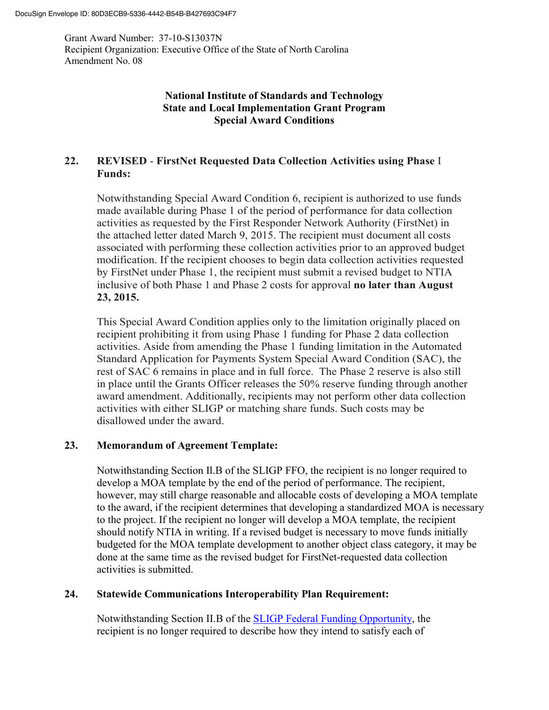Grant Award Number: 37-10-S13037N Recipient Organization: Executive Office of the State of North Carolina Amendment No. 08

# **National Institute of Standards and Technology State and Local Implementation Grant Program Special Award Conditions**

# **22. REVISED** - **FirstNet Requested Data Collection Activities using Phase** I **Funds:**

Notwithstanding Special Award Condition 6, recipient is authorized to use funds made available during Phase 1 of the period of performance for data collection activities as requested by the First Responder Network Authority (FirstNet) in the attached letter dated March 9, 2015. The recipient must document all costs associated with performing these collection activities prior to an approved budget modification. If the recipient chooses to begin data collection activities requested by FirstNet under Phase 1, the recipient must submit a revised budget to NTIA inclusive of both Phase 1 and Phase 2 costs for approval **no later than August 23, 2015.**

This Special Award Condition applies only to the limitation originally placed on recipient prohibiting it from using Phase 1 funding for Phase 2 data collection activities. Aside from amending the Phase 1 funding limitation in the Automated Standard Application for Payments System Special Award Condition (SAC), the rest of SAC 6 remains in place and in full force. The Phase 2 reserve is also still in place until the Grants Officer releases the 50% reserve funding through another award amendment. Additionally, recipients may not perform other data collection activities with either SLIGP or matching share funds. Such costs may be disallowed under the award.

# **23. Memorandum of Agreement Template:**

Notwithstanding Section Il.B of the SLIGP FFO, the recipient is no longer required to develop a MOA template by the end of the period of performance. The recipient, however, may still charge reasonable and allocable costs of developing a MOA template to the award, if the recipient determines that developing a standardized MOA is necessary to the project. If the recipient no longer will develop a MOA template, the recipient should notify NTIA in writing. If a revised budget is necessary to move funds initially budgeted for the MOA template development to another object class category, it may be done at the same time as the revised budget for FirstNet-requested data collection activities is submitted.

## **24. Statewide Communications Interoperability Plan Requirement:**

Notwithstanding Section II.B of the [SLIGP Federal Funding Opportunity,](https://www.ntia.doc.gov/files/ntia/publications/sligp_ffo_02062013.pdf) the recipient is no longer required to describe how they intend to satisfy each of